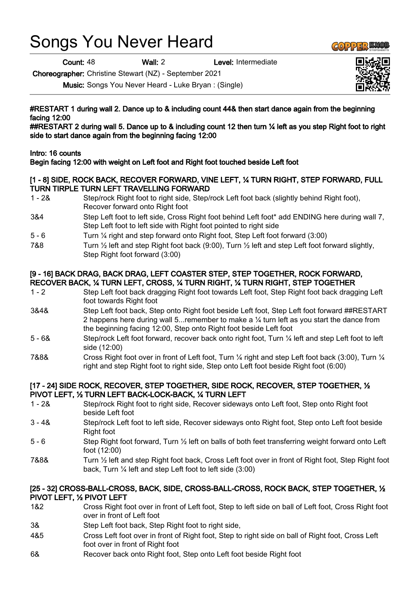# Songs You Never Heard

Count: 48 Wall: 2 Level: Intermediate

Choreographer: Christine Stewart (NZ) - September 2021

Music: Songs You Never Heard - Luke Bryan : (Single)

#RESTART 1 during wall 2. Dance up to & including count 44& then start dance again from the beginning facing 12:00

##RESTART 2 during wall 5. Dance up to & including count 12 then turn % left as you step Right foot to right side to start dance again from the beginning facing 12:00

## Intro: 16 counts

Begin facing 12:00 with weight on Left foot and Right foot touched beside Left foot

#### [1 - 8] SIDE, ROCK BACK, RECOVER FORWARD, VINE LEFT, ¼ TURN RIGHT, STEP FORWARD, FULL TURN TIRPLE TURN LEFT TRAVELLING FORWARD

- 1 2& Step/rock Right foot to right side, Step/rock Left foot back (slightly behind Right foot), Recover forward onto Right foot
- 3&4 Step Left foot to left side, Cross Right foot behind Left foot\* add ENDING here during wall 7, Step Left foot to left side with Right foot pointed to right side
- 5 6 Turn ¼ right and step forward onto Right foot, Step Left foot forward (3:00)
- 7&8 Turn  $\frac{1}{2}$  left and step Right foot back (9:00), Turn  $\frac{1}{2}$  left and step Left foot forward slightly, Step Right foot forward (3:00)

#### [9 - 16] BACK DRAG, BACK DRAG, LEFT COASTER STEP, STEP TOGETHER, ROCK FORWARD, RECOVER BACK, ¼ TURN LEFT, CROSS, ¼ TURN RIGHT, ¼ TURN RIGHT, STEP TOGETHER

- 1 2 Step Left foot back dragging Right foot towards Left foot, Step Right foot back dragging Left foot towards Right foot
- 3&4& Step Left foot back, Step onto Right foot beside Left foot, Step Left foot forward ##RESTART 2 happens here during wall 5... remember to make a  $\frac{1}{4}$  turn left as you start the dance from the beginning facing 12:00, Step onto Right foot beside Left foot
- 5 6& Step/rock Left foot forward, recover back onto right foot, Turn ¼ left and step Left foot to left side (12:00)
- 7&8& Cross Right foot over in front of Left foot, Turn ¼ right and step Left foot back (3:00), Turn ¼ right and step Right foot to right side, Step onto Left foot beside Right foot (6:00)

#### [17 - 24] SIDE ROCK, RECOVER, STEP TOGETHER, SIDE ROCK, RECOVER, STEP TOGETHER, ½ PIVOT LEFT, ½ TURN LEFT BACK-LOCK-BACK, ¼ TURN LEFT

- 1 2& Step/rock Right foot to right side, Recover sideways onto Left foot, Step onto Right foot beside Left foot
- 3 4& Step/rock Left foot to left side, Recover sideways onto Right foot, Step onto Left foot beside Right foot
- 5 6 Step Right foot forward, Turn ½ left on balls of both feet transferring weight forward onto Left foot (12:00)
- 7&8& Turn ½ left and step Right foot back, Cross Left foot over in front of Right foot, Step Right foot back, Turn ¼ left and step Left foot to left side (3:00)

## [25 - 32] CROSS-BALL-CROSS, BACK, SIDE, CROSS-BALL-CROSS, ROCK BACK, STEP TOGETHER, ½ PIVOT LEFT, ½ PIVOT LEFT

- 1&2 Cross Right foot over in front of Left foot, Step to left side on ball of Left foot, Cross Right foot over in front of Left foot
- 3& Step Left foot back, Step Right foot to right side,
- 4&5 Cross Left foot over in front of Right foot, Step to right side on ball of Right foot, Cross Left foot over in front of Right foot
- 6& Recover back onto Right foot, Step onto Left foot beside Right foot